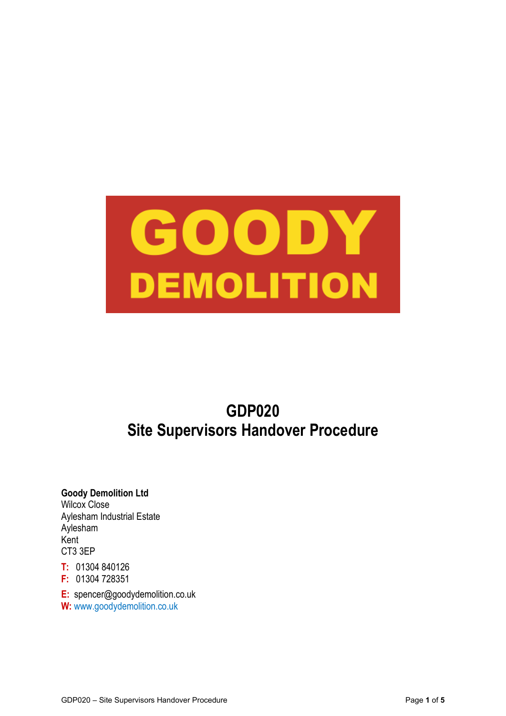

# **GDP020 Site Supervisors Handover Procedure**

# **Goody Demolition Ltd**

Wilcox Close Aylesham Industrial Estate Aylesham Kent CT3 3EP

**T:** 01304 840126

**F:** 01304 728351

**E:** spencer@goodydemolition.co.uk **W:** www.goodydemolition.co.uk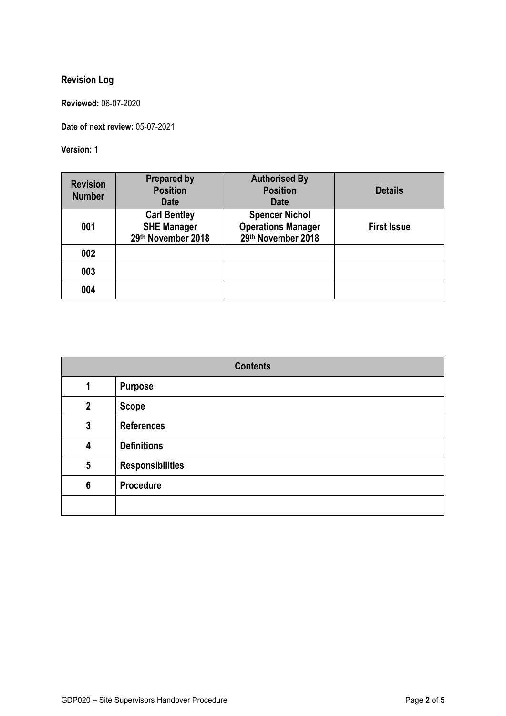# **Revision Log**

**Reviewed:** 06-07-2020

**Date of next review:** 05-07-2021

**Version:** 1

| <b>Revision</b><br><b>Number</b> | <b>Prepared by</b><br><b>Position</b><br><b>Date</b>            | <b>Authorised By</b><br><b>Position</b><br><b>Date</b>                   | <b>Details</b>     |
|----------------------------------|-----------------------------------------------------------------|--------------------------------------------------------------------------|--------------------|
| 001                              | <b>Carl Bentley</b><br><b>SHE Manager</b><br>29th November 2018 | <b>Spencer Nichol</b><br><b>Operations Manager</b><br>29th November 2018 | <b>First Issue</b> |
| 002                              |                                                                 |                                                                          |                    |
| 003                              |                                                                 |                                                                          |                    |
| 004                              |                                                                 |                                                                          |                    |

| <b>Contents</b>         |                         |  |
|-------------------------|-------------------------|--|
| 1                       | <b>Purpose</b>          |  |
| $\overline{2}$          | <b>Scope</b>            |  |
| $\mathbf{3}$            | <b>References</b>       |  |
| $\overline{\mathbf{4}}$ | <b>Definitions</b>      |  |
| $5\phantom{.0}$         | <b>Responsibilities</b> |  |
| $6\phantom{1}6$         | Procedure               |  |
|                         |                         |  |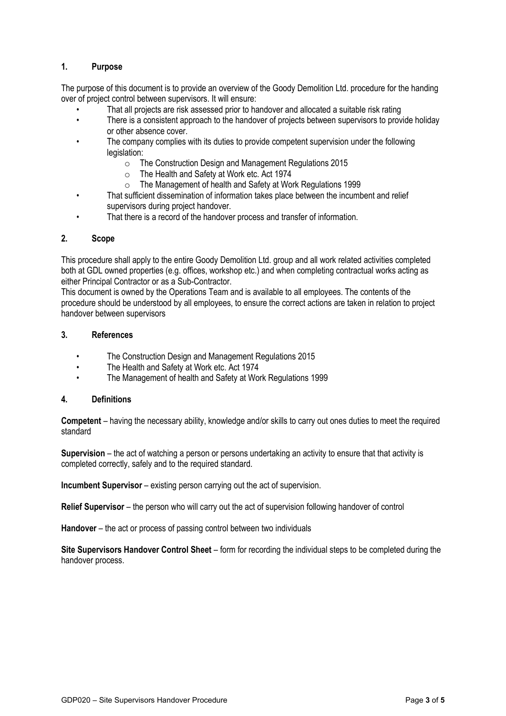# **1. Purpose**

The purpose of this document is to provide an overview of the Goody Demolition Ltd. procedure for the handing over of project control between supervisors. It will ensure:

- That all projects are risk assessed prior to handover and allocated a suitable risk rating
- There is a consistent approach to the handover of projects between supervisors to provide holiday or other absence cover.
- The company complies with its duties to provide competent supervision under the following legislation:
	- o The Construction Design and Management Regulations 2015
	- o The Health and Safety at Work etc. Act 1974
	- o The Management of health and Safety at Work Regulations 1999
- That sufficient dissemination of information takes place between the incumbent and relief supervisors during project handover.
- That there is a record of the handover process and transfer of information.

## **2. Scope**

This procedure shall apply to the entire Goody Demolition Ltd. group and all work related activities completed both at GDL owned properties (e.g. offices, workshop etc.) and when completing contractual works acting as either Principal Contractor or as a Sub-Contractor.

This document is owned by the Operations Team and is available to all employees. The contents of the procedure should be understood by all employees, to ensure the correct actions are taken in relation to project handover between supervisors

#### **3. References**

- The Construction Design and Management Regulations 2015
- The Health and Safety at Work etc. Act 1974
- The Management of health and Safety at Work Regulations 1999

#### **4. Definitions**

**Competent** – having the necessary ability, knowledge and/or skills to carry out ones duties to meet the required standard

**Supervision** – the act of watching a person or persons undertaking an activity to ensure that that activity is completed correctly, safely and to the required standard.

**Incumbent Supervisor** – existing person carrying out the act of supervision.

**Relief Supervisor** – the person who will carry out the act of supervision following handover of control

**Handover** – the act or process of passing control between two individuals

**Site Supervisors Handover Control Sheet** – form for recording the individual steps to be completed during the handover process.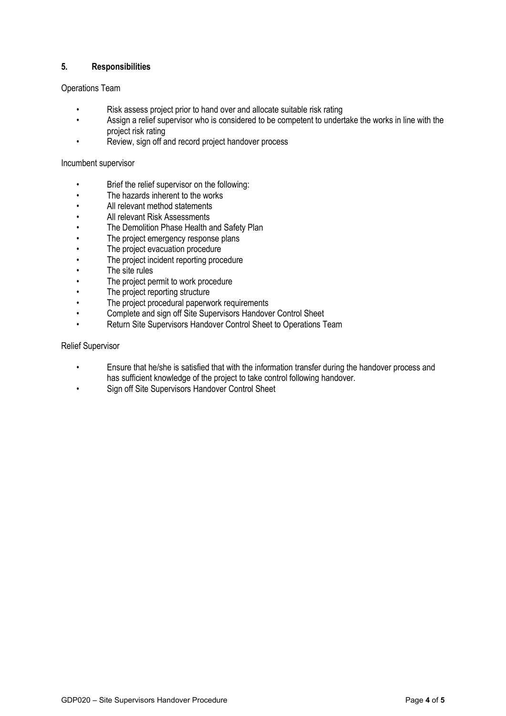# **5. Responsibilities**

## Operations Team

- Risk assess project prior to hand over and allocate suitable risk rating
- Assign a relief supervisor who is considered to be competent to undertake the works in line with the project risk rating
- Review, sign off and record project handover process

#### Incumbent supervisor

- Brief the relief supervisor on the following:
- The hazards inherent to the works
- All relevant method statements
- All relevant Risk Assessments
- The Demolition Phase Health and Safety Plan
- The project emergency response plans
- The project evacuation procedure
- The project incident reporting procedure
- The site rules
- The project permit to work procedure
- The project reporting structure
- The project procedural paperwork requirements
- Complete and sign off Site Supervisors Handover Control Sheet
- Return Site Supervisors Handover Control Sheet to Operations Team

#### Relief Supervisor

- Ensure that he/she is satisfied that with the information transfer during the handover process and has sufficient knowledge of the project to take control following handover.
- Sign off Site Supervisors Handover Control Sheet